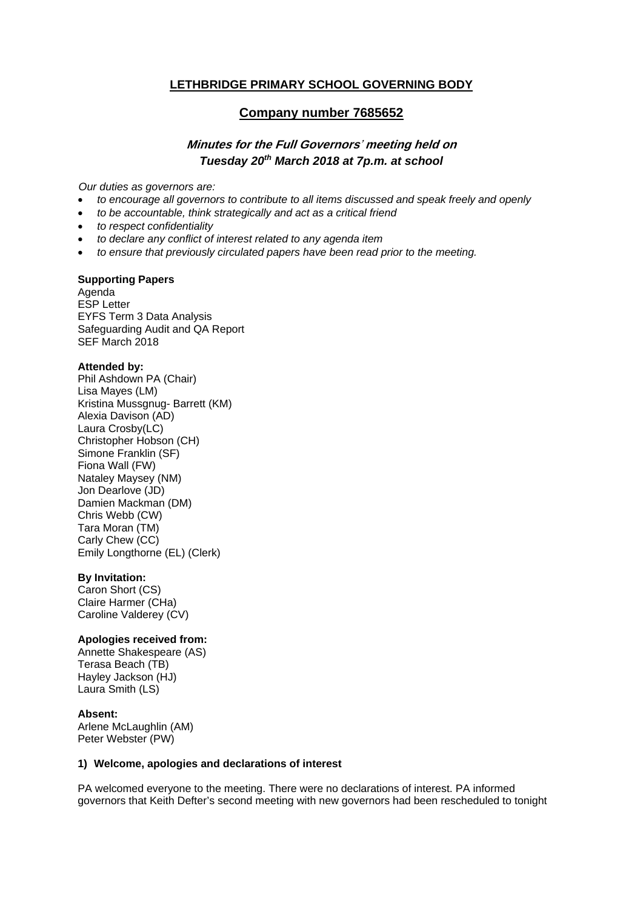# **LETHBRIDGE PRIMARY SCHOOL GOVERNING BODY**

# **Company number 7685652**

# **Minutes for the Full Governors**' **meeting held on**  *Tuesday 20th March 2018 at 7p.m. at school*

*Our duties as governors are:* 

- *to encourage all governors to contribute to all items discussed and speak freely and openly*
- *to be accountable, think strategically and act as a critical friend*
- *to respect confidentiality*
- *to declare any conflict of interest related to any agenda item*
- *to ensure that previously circulated papers have been read prior to the meeting.*

### **Supporting Papers**

Agenda ESP Letter EYFS Term 3 Data Analysis Safeguarding Audit and QA Report SEF March 2018

#### **Attended by:**

Phil Ashdown PA (Chair) Lisa Mayes (LM) Kristina Mussgnug- Barrett (KM) Alexia Davison (AD) Laura Crosby(LC) Christopher Hobson (CH) Simone Franklin (SF) Fiona Wall (FW) Nataley Maysey (NM) Jon Dearlove (JD) Damien Mackman (DM) Chris Webb (CW) Tara Moran (TM) Carly Chew (CC) Emily Longthorne (EL) (Clerk)

#### **By Invitation:**

Caron Short (CS) Claire Harmer (CHa) Caroline Valderey (CV)

#### **Apologies received from:**

Annette Shakespeare (AS) Terasa Beach (TB) Hayley Jackson (HJ) Laura Smith (LS)

**Absent:**  Arlene McLaughlin (AM) Peter Webster (PW)

#### **1) Welcome, apologies and declarations of interest**

PA welcomed everyone to the meeting. There were no declarations of interest. PA informed governors that Keith Defter's second meeting with new governors had been rescheduled to tonight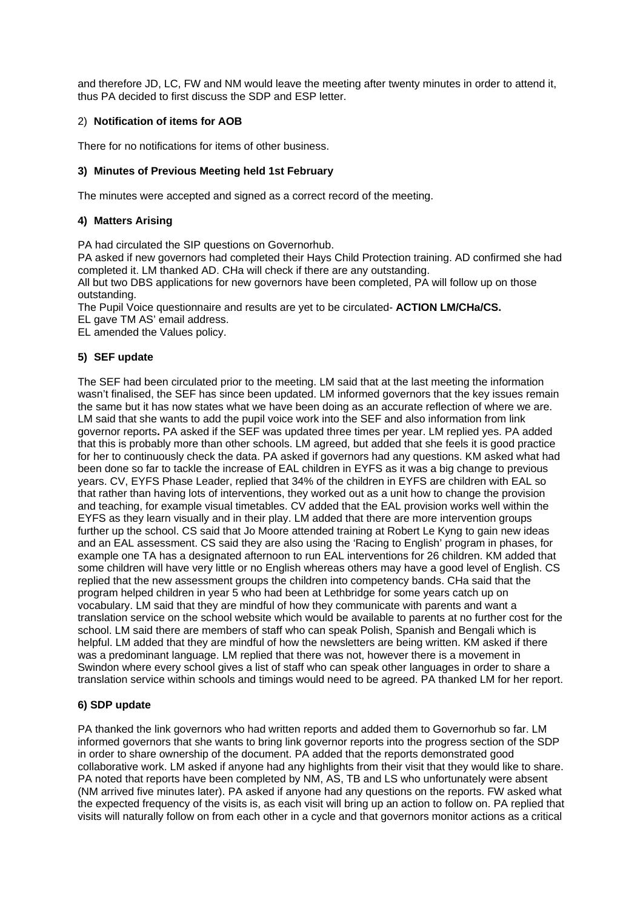and therefore JD, LC, FW and NM would leave the meeting after twenty minutes in order to attend it, thus PA decided to first discuss the SDP and ESP letter.

#### 2) **Notification of items for AOB**

There for no notifications for items of other business.

#### **3) Minutes of Previous Meeting held 1st February**

The minutes were accepted and signed as a correct record of the meeting.

#### **4) Matters Arising**

PA had circulated the SIP questions on Governorhub.

PA asked if new governors had completed their Hays Child Protection training. AD confirmed she had completed it. LM thanked AD. CHa will check if there are any outstanding.

All but two DBS applications for new governors have been completed, PA will follow up on those outstanding.

The Pupil Voice questionnaire and results are yet to be circulated- **ACTION LM/CHa/CS.**

EL gave TM AS' email address.

EL amended the Values policy.

### **5) SEF update**

The SEF had been circulated prior to the meeting. LM said that at the last meeting the information wasn't finalised, the SEF has since been updated. LM informed governors that the key issues remain the same but it has now states what we have been doing as an accurate reflection of where we are. LM said that she wants to add the pupil voice work into the SEF and also information from link governor reports**.** PA asked if the SEF was updated three times per year. LM replied yes. PA added that this is probably more than other schools. LM agreed, but added that she feels it is good practice for her to continuously check the data. PA asked if governors had any questions. KM asked what had been done so far to tackle the increase of EAL children in EYFS as it was a big change to previous years. CV, EYFS Phase Leader, replied that 34% of the children in EYFS are children with EAL so that rather than having lots of interventions, they worked out as a unit how to change the provision and teaching, for example visual timetables. CV added that the EAL provision works well within the EYFS as they learn visually and in their play. LM added that there are more intervention groups further up the school. CS said that Jo Moore attended training at Robert Le Kyng to gain new ideas and an EAL assessment. CS said they are also using the 'Racing to English' program in phases, for example one TA has a designated afternoon to run EAL interventions for 26 children. KM added that some children will have very little or no English whereas others may have a good level of English. CS replied that the new assessment groups the children into competency bands. CHa said that the program helped children in year 5 who had been at Lethbridge for some years catch up on vocabulary. LM said that they are mindful of how they communicate with parents and want a translation service on the school website which would be available to parents at no further cost for the school. LM said there are members of staff who can speak Polish, Spanish and Bengali which is helpful. LM added that they are mindful of how the newsletters are being written. KM asked if there was a predominant language. LM replied that there was not, however there is a movement in Swindon where every school gives a list of staff who can speak other languages in order to share a translation service within schools and timings would need to be agreed. PA thanked LM for her report.

### **6) SDP update**

PA thanked the link governors who had written reports and added them to Governorhub so far. LM informed governors that she wants to bring link governor reports into the progress section of the SDP in order to share ownership of the document. PA added that the reports demonstrated good collaborative work. LM asked if anyone had any highlights from their visit that they would like to share. PA noted that reports have been completed by NM, AS, TB and LS who unfortunately were absent (NM arrived five minutes later). PA asked if anyone had any questions on the reports. FW asked what the expected frequency of the visits is, as each visit will bring up an action to follow on. PA replied that visits will naturally follow on from each other in a cycle and that governors monitor actions as a critical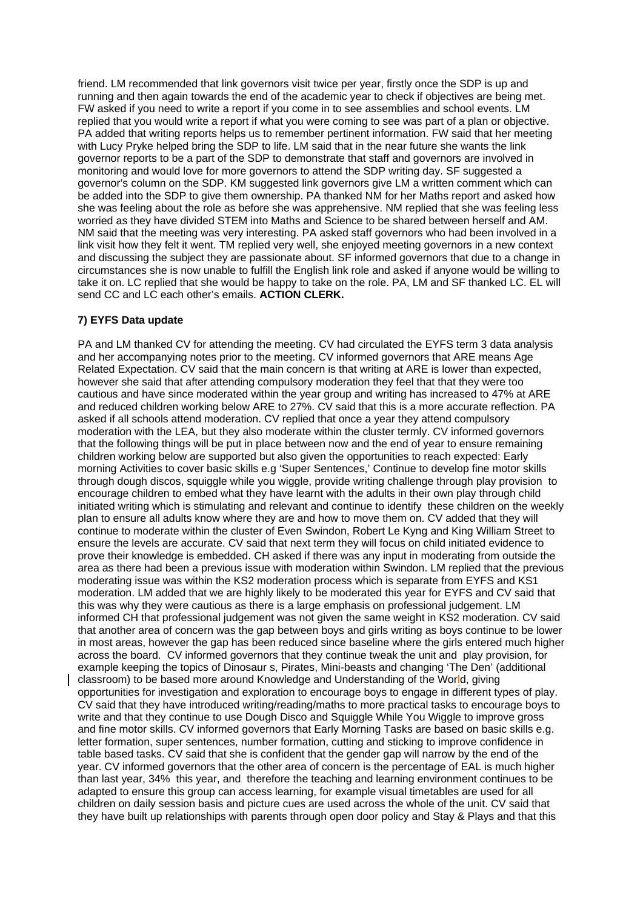friend. LM recommended that link governors visit twice per year, firstly once the SDP is up and running and then again towards the end of the academic year to check if objectives are being met. FW asked if you need to write a report if you come in to see assemblies and school events. LM replied that you would write a report if what you were coming to see was part of a plan or objective. PA added that writing reports helps us to remember pertinent information. FW said that her meeting with Lucy Pryke helped bring the SDP to life. LM said that in the near future she wants the link governor reports to be a part of the SDP to demonstrate that staff and governors are involved in monitoring and would love for more governors to attend the SDP writing day. SF suggested a governor's column on the SDP. KM suggested link governors give LM a written comment which can be added into the SDP to give them ownership. PA thanked NM for her Maths report and asked how she was feeling about the role as before she was apprehensive. NM replied that she was feeling less worried as they have divided STEM into Maths and Science to be shared between herself and AM. NM said that the meeting was very interesting. PA asked staff governors who had been involved in a link visit how they felt it went. TM replied very well, she enjoyed meeting governors in a new context and discussing the subject they are passionate about. SF informed governors that due to a change in circumstances she is now unable to fulfill the English link role and asked if anyone would be willing to take it on. LC replied that she would be happy to take on the role. PA, LM and SF thanked LC. EL will send CC and LC each other's emails. **ACTION CLERK.**

# **7) EYFS Data update**

PA and LM thanked CV for attending the meeting. CV had circulated the EYFS term 3 data analysis and her accompanying notes prior to the meeting. CV informed governors that ARE means Age Related Expectation. CV said that the main concern is that writing at ARE is lower than expected, however she said that after attending compulsory moderation they feel that that they were too cautious and have since moderated within the year group and writing has increased to 47% at ARE and reduced children working below ARE to 27%. CV said that this is a more accurate reflection. PA asked if all schools attend moderation. CV replied that once a year they attend compulsory moderation with the LEA, but they also moderate within the cluster termly. CV informed governors that the following things will be put in place between now and the end of year to ensure remaining children working below are supported but also given the opportunities to reach expected: Early morning Activities to cover basic skills e.g 'Super Sentences,' Continue to develop fine motor skills through dough discos, squiggle while you wiggle, provide writing challenge through play provision to encourage children to embed what they have learnt with the adults in their own play through child initiated writing which is stimulating and relevant and continue to identify these children on the weekly plan to ensure all adults know where they are and how to move them on. CV added that they will continue to moderate within the cluster of Even Swindon, Robert Le Kyng and King William Street to ensure the levels are accurate. CV said that next term they will focus on child initiated evidence to prove their knowledge is embedded. CH asked if there was any input in moderating from outside the area as there had been a previous issue with moderation within Swindon. LM replied that the previous moderating issue was within the KS2 moderation process which is separate from EYFS and KS1 moderation. LM added that we are highly likely to be moderated this year for EYFS and CV said that this was why they were cautious as there is a large emphasis on professional judgement. LM informed CH that professional judgement was not given the same weight in KS2 moderation. CV said that another area of concern was the gap between boys and girls writing as boys continue to be lower in most areas, however the gap has been reduced since baseline where the girls entered much higher across the board. CV informed governors that they continue tweak the unit and play provision, for example keeping the topics of Dinosaur s, Pirates, Mini-beasts and changing 'The Den' (additional classroom) to be based more around Knowledge and Understanding of the World, giving opportunities for investigation and exploration to encourage boys to engage in different types of play. CV said that they have introduced writing/reading/maths to more practical tasks to encourage boys to write and that they continue to use Dough Disco and Squiggle While You Wiggle to improve gross and fine motor skills. CV informed governors that Early Morning Tasks are based on basic skills e.g. letter formation, super sentences, number formation, cutting and sticking to improve confidence in table based tasks. CV said that she is confident that the gender gap will narrow by the end of the year. CV informed governors that the other area of concern is the percentage of EAL is much higher than last year, 34% this year, and therefore the teaching and learning environment continues to be adapted to ensure this group can access learning, for example visual timetables are used for all children on daily session basis and picture cues are used across the whole of the unit. CV said that they have built up relationships with parents through open door policy and Stay & Plays and that this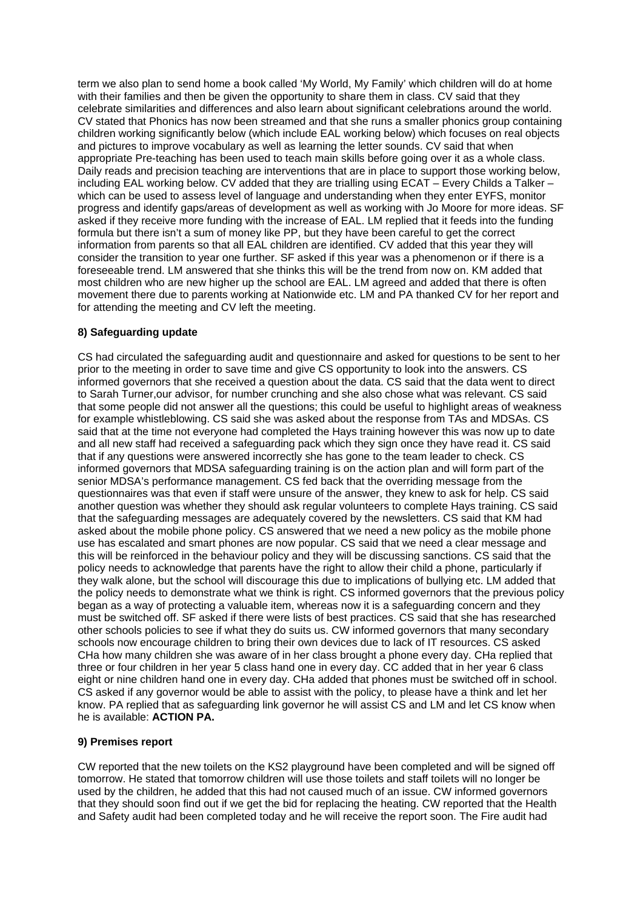term we also plan to send home a book called 'My World, My Family' which children will do at home with their families and then be given the opportunity to share them in class. CV said that they celebrate similarities and differences and also learn about significant celebrations around the world. CV stated that Phonics has now been streamed and that she runs a smaller phonics group containing children working significantly below (which include EAL working below) which focuses on real objects and pictures to improve vocabulary as well as learning the letter sounds. CV said that when appropriate Pre-teaching has been used to teach main skills before going over it as a whole class. Daily reads and precision teaching are interventions that are in place to support those working below, including EAL working below. CV added that they are trialling using ECAT – Every Childs a Talker – which can be used to assess level of language and understanding when they enter EYFS, monitor progress and identify gaps/areas of development as well as working with Jo Moore for more ideas. SF asked if they receive more funding with the increase of EAL. LM replied that it feeds into the funding formula but there isn't a sum of money like PP, but they have been careful to get the correct information from parents so that all EAL children are identified. CV added that this year they will consider the transition to year one further. SF asked if this year was a phenomenon or if there is a foreseeable trend. LM answered that she thinks this will be the trend from now on. KM added that most children who are new higher up the school are EAL. LM agreed and added that there is often movement there due to parents working at Nationwide etc. LM and PA thanked CV for her report and for attending the meeting and CV left the meeting.

### **8) Safeguarding update**

CS had circulated the safeguarding audit and questionnaire and asked for questions to be sent to her prior to the meeting in order to save time and give CS opportunity to look into the answers. CS informed governors that she received a question about the data. CS said that the data went to direct to Sarah Turner,our advisor, for number crunching and she also chose what was relevant. CS said that some people did not answer all the questions; this could be useful to highlight areas of weakness for example whistleblowing. CS said she was asked about the response from TAs and MDSAs. CS said that at the time not everyone had completed the Hays training however this was now up to date and all new staff had received a safeguarding pack which they sign once they have read it. CS said that if any questions were answered incorrectly she has gone to the team leader to check. CS informed governors that MDSA safeguarding training is on the action plan and will form part of the senior MDSA's performance management. CS fed back that the overriding message from the questionnaires was that even if staff were unsure of the answer, they knew to ask for help. CS said another question was whether they should ask regular volunteers to complete Hays training. CS said that the safeguarding messages are adequately covered by the newsletters. CS said that KM had asked about the mobile phone policy. CS answered that we need a new policy as the mobile phone use has escalated and smart phones are now popular. CS said that we need a clear message and this will be reinforced in the behaviour policy and they will be discussing sanctions. CS said that the policy needs to acknowledge that parents have the right to allow their child a phone, particularly if they walk alone, but the school will discourage this due to implications of bullying etc. LM added that the policy needs to demonstrate what we think is right. CS informed governors that the previous policy began as a way of protecting a valuable item, whereas now it is a safeguarding concern and they must be switched off. SF asked if there were lists of best practices. CS said that she has researched other schools policies to see if what they do suits us. CW informed governors that many secondary schools now encourage children to bring their own devices due to lack of IT resources. CS asked CHa how many children she was aware of in her class brought a phone every day. CHa replied that three or four children in her year 5 class hand one in every day. CC added that in her year 6 class eight or nine children hand one in every day. CHa added that phones must be switched off in school. CS asked if any governor would be able to assist with the policy, to please have a think and let her know. PA replied that as safeguarding link governor he will assist CS and LM and let CS know when he is available: **ACTION PA.**

### **9) Premises report**

CW reported that the new toilets on the KS2 playground have been completed and will be signed off tomorrow. He stated that tomorrow children will use those toilets and staff toilets will no longer be used by the children, he added that this had not caused much of an issue. CW informed governors that they should soon find out if we get the bid for replacing the heating. CW reported that the Health and Safety audit had been completed today and he will receive the report soon. The Fire audit had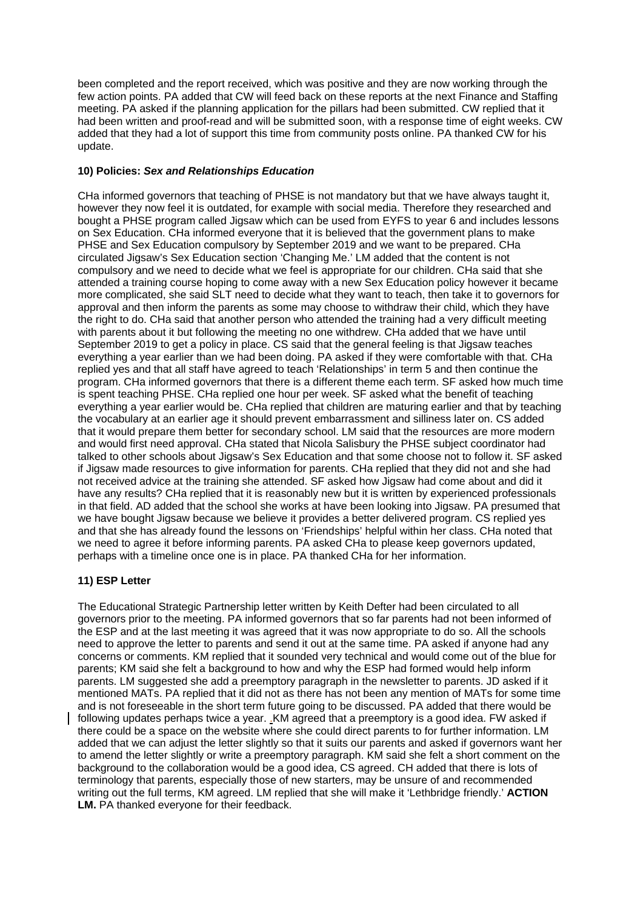been completed and the report received, which was positive and they are now working through the few action points. PA added that CW will feed back on these reports at the next Finance and Staffing meeting. PA asked if the planning application for the pillars had been submitted. CW replied that it had been written and proof-read and will be submitted soon, with a response time of eight weeks. CW added that they had a lot of support this time from community posts online. PA thanked CW for his update.

### **10) Policies:** *Sex and Relationships Education*

CHa informed governors that teaching of PHSE is not mandatory but that we have always taught it, however they now feel it is outdated, for example with social media. Therefore they researched and bought a PHSE program called Jigsaw which can be used from EYFS to year 6 and includes lessons on Sex Education. CHa informed everyone that it is believed that the government plans to make PHSE and Sex Education compulsory by September 2019 and we want to be prepared. CHa circulated Jigsaw's Sex Education section 'Changing Me.' LM added that the content is not compulsory and we need to decide what we feel is appropriate for our children. CHa said that she attended a training course hoping to come away with a new Sex Education policy however it became more complicated, she said SLT need to decide what they want to teach, then take it to governors for approval and then inform the parents as some may choose to withdraw their child, which they have the right to do. CHa said that another person who attended the training had a very difficult meeting with parents about it but following the meeting no one withdrew. CHa added that we have until September 2019 to get a policy in place. CS said that the general feeling is that Jigsaw teaches everything a year earlier than we had been doing. PA asked if they were comfortable with that. CHa replied yes and that all staff have agreed to teach 'Relationships' in term 5 and then continue the program. CHa informed governors that there is a different theme each term. SF asked how much time is spent teaching PHSE. CHa replied one hour per week. SF asked what the benefit of teaching everything a year earlier would be. CHa replied that children are maturing earlier and that by teaching the vocabulary at an earlier age it should prevent embarrassment and silliness later on. CS added that it would prepare them better for secondary school. LM said that the resources are more modern and would first need approval. CHa stated that Nicola Salisbury the PHSE subject coordinator had talked to other schools about Jigsaw's Sex Education and that some choose not to follow it. SF asked if Jigsaw made resources to give information for parents. CHa replied that they did not and she had not received advice at the training she attended. SF asked how Jigsaw had come about and did it have any results? CHa replied that it is reasonably new but it is written by experienced professionals in that field. AD added that the school she works at have been looking into Jigsaw. PA presumed that we have bought Jigsaw because we believe it provides a better delivered program. CS replied yes and that she has already found the lessons on 'Friendships' helpful within her class. CHa noted that we need to agree it before informing parents. PA asked CHa to please keep governors updated, perhaps with a timeline once one is in place. PA thanked CHa for her information.

### **11) ESP Letter**

The Educational Strategic Partnership letter written by Keith Defter had been circulated to all governors prior to the meeting. PA informed governors that so far parents had not been informed of the ESP and at the last meeting it was agreed that it was now appropriate to do so. All the schools need to approve the letter to parents and send it out at the same time. PA asked if anyone had any concerns or comments. KM replied that it sounded very technical and would come out of the blue for parents; KM said she felt a background to how and why the ESP had formed would help inform parents. LM suggested she add a preemptory paragraph in the newsletter to parents. JD asked if it mentioned MATs. PA replied that it did not as there has not been any mention of MATs for some time and is not foreseeable in the short term future going to be discussed. PA added that there would be following updates perhaps twice a year. .KM agreed that a preemptory is a good idea. FW asked if there could be a space on the website where she could direct parents to for further information. LM added that we can adjust the letter slightly so that it suits our parents and asked if governors want her to amend the letter slightly or write a preemptory paragraph. KM said she felt a short comment on the background to the collaboration would be a good idea, CS agreed. CH added that there is lots of terminology that parents, especially those of new starters, may be unsure of and recommended writing out the full terms, KM agreed. LM replied that she will make it 'Lethbridge friendly.' **ACTION LM.** PA thanked everyone for their feedback.